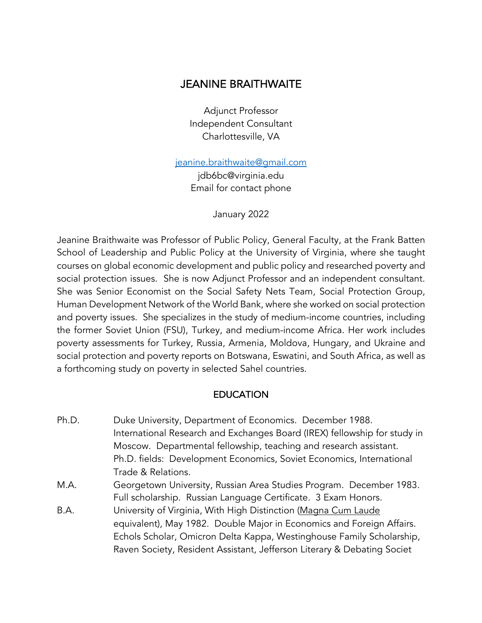# JEANINE BRAITHWAITE

Adjunct Professor Independent Consultant Charlottesville, VA

jeanine.braithwaite@gmail.com

jdb6bc@virginia.edu Email for contact phone

January 2022

Jeanine Braithwaite was Professor of Public Policy, General Faculty, at the Frank Batten School of Leadership and Public Policy at the University of Virginia, where she taught courses on global economic development and public policy and researched poverty and social protection issues. She is now Adjunct Professor and an independent consultant. She was Senior Economist on the Social Safety Nets Team, Social Protection Group, Human Development Network of the World Bank, where she worked on social protection and poverty issues. She specializes in the study of medium-income countries, including the former Soviet Union (FSU), Turkey, and medium-income Africa. Her work includes poverty assessments for Turkey, Russia, Armenia, Moldova, Hungary, and Ukraine and social protection and poverty reports on Botswana, Eswatini, and South Africa, as well as a forthcoming study on poverty in selected Sahel countries.

#### **EDUCATION**

- Ph.D. Duke University, Department of Economics. December 1988. International Research and Exchanges Board (IREX) fellowship for study in Moscow. Departmental fellowship, teaching and research assistant. Ph.D. fields: Development Economics, Soviet Economics, International Trade & Relations.
- M.A. Georgetown University, Russian Area Studies Program. December 1983. Full scholarship. Russian Language Certificate. 3 Exam Honors.
- B.A. University of Virginia, With High Distinction (Magna Cum Laude equivalent), May 1982. Double Major in Economics and Foreign Affairs. Echols Scholar, Omicron Delta Kappa, Westinghouse Family Scholarship, Raven Society, Resident Assistant, Jefferson Literary & Debating Societ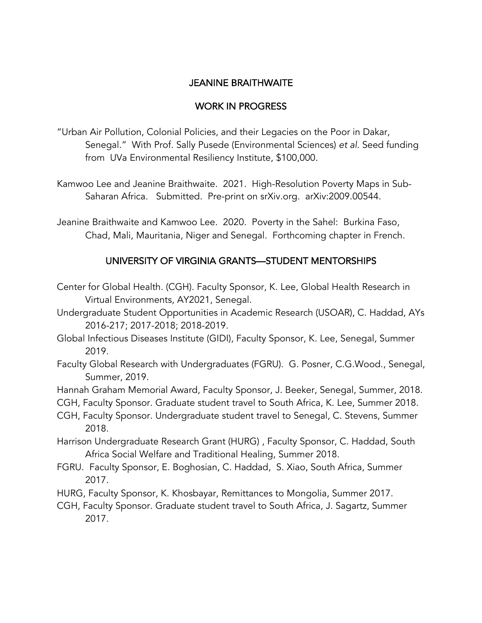## JEANINE BRAITHWAITE

## WORK IN PROGRESS

- "Urban Air Pollution, Colonial Policies, and their Legacies on the Poor in Dakar, Senegal." With Prof. Sally Pusede (Environmental Sciences) *et al*. Seed funding from UVa Environmental Resiliency Institute, \$100,000.
- Kamwoo Lee and Jeanine Braithwaite. 2021. High-Resolution Poverty Maps in Sub-Saharan Africa. Submitted. Pre-print on srXiv.org. arXiv:2009.00544.
- Jeanine Braithwaite and Kamwoo Lee. 2020. Poverty in the Sahel: Burkina Faso, Chad, Mali, Mauritania, Niger and Senegal. Forthcoming chapter in French.

# UNIVERSITY OF VIRGINIA GRANTS—STUDENT MENTORSHIPS

- Center for Global Health. (CGH). Faculty Sponsor, K. Lee, Global Health Research in Virtual Environments, AY2021, Senegal.
- Undergraduate Student Opportunities in Academic Research (USOAR), C. Haddad, AYs 2016-217; 2017-2018; 2018-2019.
- Global Infectious Diseases Institute (GIDI), Faculty Sponsor, K. Lee, Senegal, Summer 2019.
- Faculty Global Research with Undergraduates (FGRU). G. Posner, C.G.Wood., Senegal, Summer, 2019.
- Hannah Graham Memorial Award, Faculty Sponsor, J. Beeker, Senegal, Summer, 2018.
- CGH, Faculty Sponsor. Graduate student travel to South Africa, K. Lee, Summer 2018.
- CGH, Faculty Sponsor. Undergraduate student travel to Senegal, C. Stevens, Summer 2018.
- Harrison Undergraduate Research Grant (HURG) , Faculty Sponsor, C. Haddad, South Africa Social Welfare and Traditional Healing, Summer 2018.
- FGRU. Faculty Sponsor, E. Boghosian, C. Haddad, S. Xiao, South Africa, Summer 2017.
- HURG, Faculty Sponsor, K. Khosbayar, Remittances to Mongolia, Summer 2017.
- CGH, Faculty Sponsor. Graduate student travel to South Africa, J. Sagartz, Summer 2017.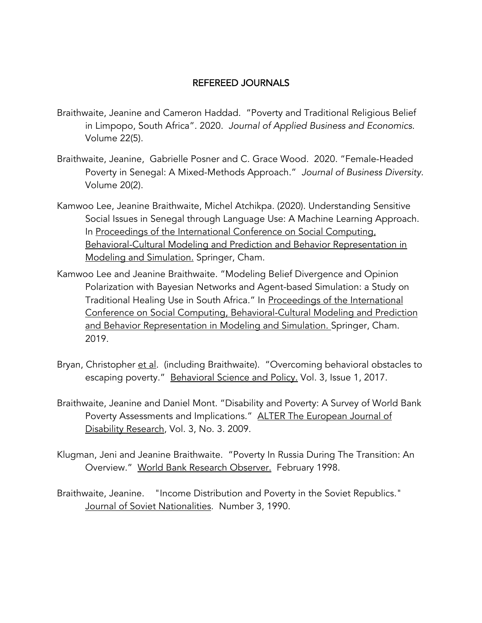#### REFEREED JOURNALS

- Braithwaite, Jeanine and Cameron Haddad. "Poverty and Traditional Religious Belief in Limpopo, South Africa". 2020. *Journal of Applied Business and Economics*. Volume 22(5).
- Braithwaite, Jeanine, Gabrielle Posner and C. Grace Wood. 2020. "Female-Headed Poverty in Senegal: A Mixed-Methods Approach." *Journal of Business Diversity.*  Volume 20(2).
- Kamwoo Lee, Jeanine Braithwaite, Michel Atchikpa. (2020). Understanding Sensitive Social Issues in Senegal through Language Use: A Machine Learning Approach. In Proceedings of the International Conference on Social Computing, Behavioral-Cultural Modeling and Prediction and Behavior Representation in Modeling and Simulation. Springer, Cham.
- Kamwoo Lee and Jeanine Braithwaite. "Modeling Belief Divergence and Opinion Polarization with Bayesian Networks and Agent-based Simulation: a Study on Traditional Healing Use in South Africa." In Proceedings of the International Conference on Social Computing, Behavioral-Cultural Modeling and Prediction and Behavior Representation in Modeling and Simulation. Springer, Cham. 2019.
- Bryan, Christopher et al. (including Braithwaite). "Overcoming behavioral obstacles to escaping poverty." Behavioral Science and Policy. Vol. 3, Issue 1, 2017.
- Braithwaite, Jeanine and Daniel Mont. "Disability and Poverty: A Survey of World Bank Poverty Assessments and Implications." ALTER The European Journal of Disability Research, Vol. 3, No. 3. 2009.
- Klugman, Jeni and Jeanine Braithwaite. "Poverty In Russia During The Transition: An Overview." World Bank Research Observer. February 1998.
- Braithwaite, Jeanine. "Income Distribution and Poverty in the Soviet Republics." Journal of Soviet Nationalities. Number 3, 1990.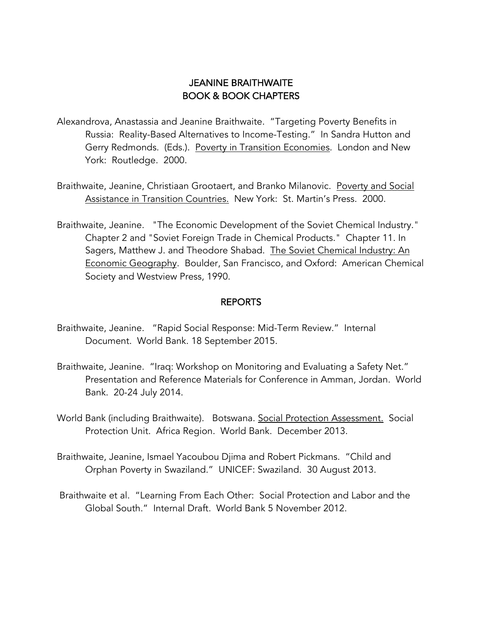# JEANINE BRAITHWAITE BOOK & BOOK CHAPTERS

- Alexandrova, Anastassia and Jeanine Braithwaite. "Targeting Poverty Benefits in Russia: Reality-Based Alternatives to Income-Testing." In Sandra Hutton and Gerry Redmonds. (Eds.). Poverty in Transition Economies. London and New York: Routledge. 2000.
- Braithwaite, Jeanine, Christiaan Grootaert, and Branko Milanovic. Poverty and Social Assistance in Transition Countries. New York: St. Martin's Press. 2000.
- Braithwaite, Jeanine. "The Economic Development of the Soviet Chemical Industry." Chapter 2 and "Soviet Foreign Trade in Chemical Products." Chapter 11. In Sagers, Matthew J. and Theodore Shabad. The Soviet Chemical Industry: An Economic Geography. Boulder, San Francisco, and Oxford: American Chemical Society and Westview Press, 1990.

#### REPORTS

- Braithwaite, Jeanine. "Rapid Social Response: Mid-Term Review." Internal Document. World Bank. 18 September 2015.
- Braithwaite, Jeanine. "Iraq: Workshop on Monitoring and Evaluating a Safety Net." Presentation and Reference Materials for Conference in Amman, Jordan. World Bank. 20-24 July 2014.
- World Bank (including Braithwaite). Botswana. Social Protection Assessment. Social Protection Unit. Africa Region. World Bank. December 2013.
- Braithwaite, Jeanine, Ismael Yacoubou Djima and Robert Pickmans. "Child and Orphan Poverty in Swaziland." UNICEF: Swaziland. 30 August 2013.
- Braithwaite et al. "Learning From Each Other: Social Protection and Labor and the Global South." Internal Draft. World Bank 5 November 2012.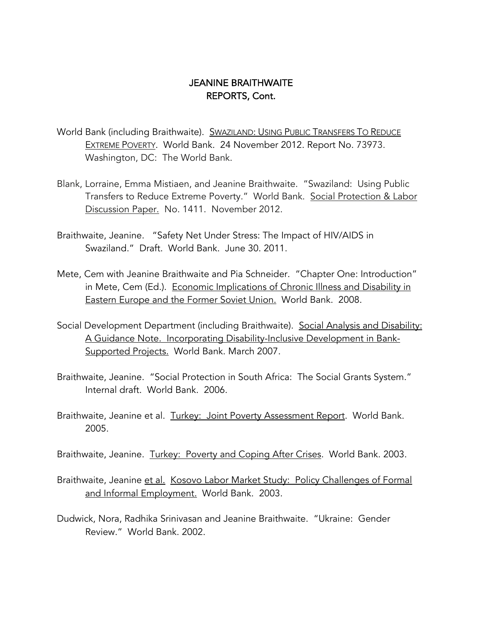- World Bank (including Braithwaite). SWAZILAND: USING PUBLIC TRANSFERS TO REDUCE EXTREME POVERTY. World Bank. 24 November 2012. Report No. 73973. Washington, DC: The World Bank.
- Blank, Lorraine, Emma Mistiaen, and Jeanine Braithwaite. "Swaziland: Using Public Transfers to Reduce Extreme Poverty." World Bank. Social Protection & Labor Discussion Paper. No. 1411. November 2012.
- Braithwaite, Jeanine. "Safety Net Under Stress: The Impact of HIV/AIDS in Swaziland." Draft. World Bank. June 30. 2011.
- Mete, Cem with Jeanine Braithwaite and Pia Schneider. "Chapter One: Introduction" in Mete, Cem (Ed.). Economic Implications of Chronic Illness and Disability in Eastern Europe and the Former Soviet Union. World Bank. 2008.
- Social Development Department (including Braithwaite). Social Analysis and Disability: A Guidance Note. Incorporating Disability-Inclusive Development in Bank-Supported Projects. World Bank. March 2007.
- Braithwaite, Jeanine. "Social Protection in South Africa: The Social Grants System." Internal draft. World Bank. 2006.
- Braithwaite, Jeanine et al. Turkey: Joint Poverty Assessment Report. World Bank. 2005.

Braithwaite, Jeanine. Turkey: Poverty and Coping After Crises. World Bank. 2003.

- Braithwaite, Jeanine et al. Kosovo Labor Market Study: Policy Challenges of Formal and Informal Employment. World Bank. 2003.
- Dudwick, Nora, Radhika Srinivasan and Jeanine Braithwaite. "Ukraine: Gender Review." World Bank. 2002.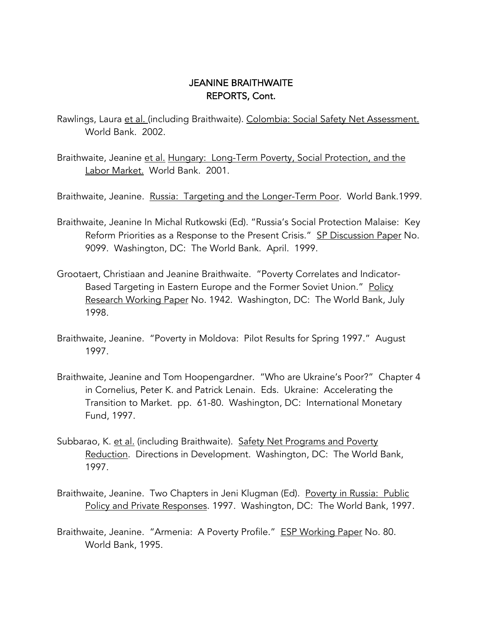- Rawlings, Laura et al. (including Braithwaite). Colombia: Social Safety Net Assessment. World Bank. 2002.
- Braithwaite, Jeanine et al. Hungary: Long-Term Poverty, Social Protection, and the Labor Market. World Bank. 2001.
- Braithwaite, Jeanine. Russia: Targeting and the Longer-Term Poor. World Bank.1999.
- Braithwaite, Jeanine In Michal Rutkowski (Ed). "Russia's Social Protection Malaise: Key Reform Priorities as a Response to the Present Crisis." SP Discussion Paper No. 9099. Washington, DC: The World Bank. April. 1999.
- Grootaert, Christiaan and Jeanine Braithwaite. "Poverty Correlates and Indicator-Based Targeting in Eastern Europe and the Former Soviet Union." Policy Research Working Paper No. 1942. Washington, DC: The World Bank, July 1998.
- Braithwaite, Jeanine. "Poverty in Moldova: Pilot Results for Spring 1997." August 1997.
- Braithwaite, Jeanine and Tom Hoopengardner. "Who are Ukraine's Poor?" Chapter 4 in Cornelius, Peter K. and Patrick Lenain. Eds. Ukraine: Accelerating the Transition to Market. pp. 61-80. Washington, DC: International Monetary Fund, 1997.
- Subbarao, K. et al. (including Braithwaite). Safety Net Programs and Poverty Reduction. Directions in Development. Washington, DC: The World Bank, 1997.
- Braithwaite, Jeanine. Two Chapters in Jeni Klugman (Ed). Poverty in Russia: Public Policy and Private Responses. 1997. Washington, DC: The World Bank, 1997.
- Braithwaite, Jeanine. "Armenia: A Poverty Profile." ESP Working Paper No. 80. World Bank, 1995.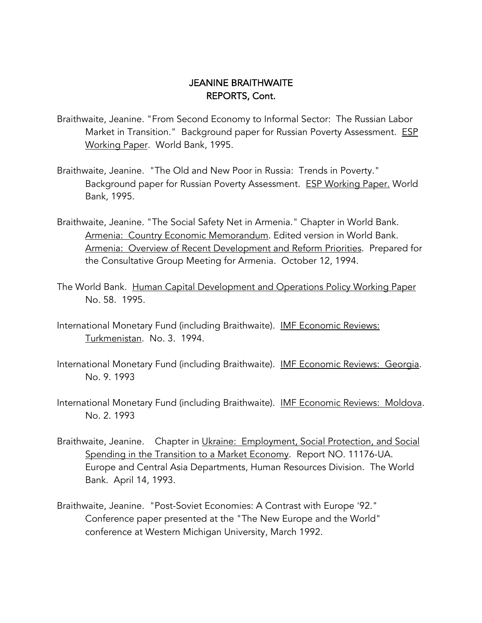- Braithwaite, Jeanine. "From Second Economy to Informal Sector: The Russian Labor Market in Transition." Background paper for Russian Poverty Assessment. ESP Working Paper. World Bank, 1995.
- Braithwaite, Jeanine. "The Old and New Poor in Russia: Trends in Poverty." Background paper for Russian Poverty Assessment. ESP Working Paper. World Bank, 1995.
- Braithwaite, Jeanine. "The Social Safety Net in Armenia." Chapter in World Bank. Armenia: Country Economic Memorandum. Edited version in World Bank. Armenia: Overview of Recent Development and Reform Priorities. Prepared for the Consultative Group Meeting for Armenia. October 12, 1994.
- The World Bank. Human Capital Development and Operations Policy Working Paper No. 58. 1995.
- International Monetary Fund (including Braithwaite). IMF Economic Reviews: Turkmenistan. No. 3. 1994.
- International Monetary Fund (including Braithwaite). IMF Economic Reviews: Georgia. No. 9. 1993
- International Monetary Fund (including Braithwaite). IMF Economic Reviews: Moldova. No. 2. 1993
- Braithwaite, Jeanine. Chapter in Ukraine: Employment, Social Protection, and Social Spending in the Transition to a Market Economy. Report NO. 11176-UA. Europe and Central Asia Departments, Human Resources Division. The World Bank. April 14, 1993.
- Braithwaite, Jeanine. "Post-Soviet Economies: A Contrast with Europe '92." Conference paper presented at the "The New Europe and the World" conference at Western Michigan University, March 1992.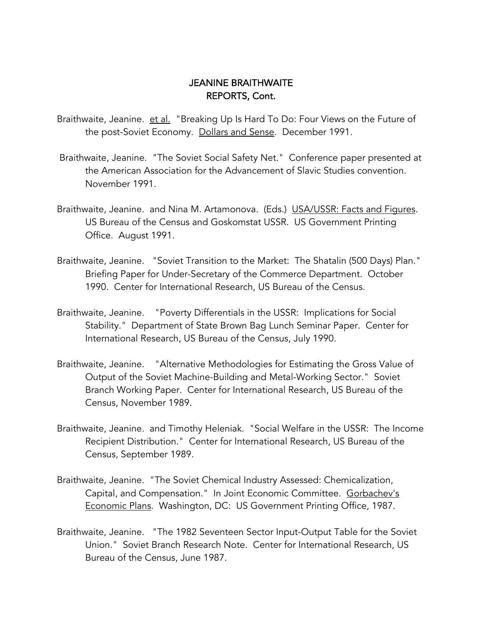Braithwaite, Jeanine. et al. "Breaking Up Is Hard To Do: Four Views on the Future of the post-Soviet Economy. Dollars and Sense. December 1991.

- Braithwaite, Jeanine. "The Soviet Social Safety Net." Conference paper presented at the American Association for the Advancement of Slavic Studies convention. November 1991.
- Braithwaite, Jeanine. and Nina M. Artamonova. (Eds.) USA/USSR: Facts and Figures. US Bureau of the Census and Goskomstat USSR. US Government Printing Office. August 1991.
- Braithwaite, Jeanine. "Soviet Transition to the Market: The Shatalin (500 Days) Plan." Briefing Paper for Under-Secretary of the Commerce Department. October 1990. Center for International Research, US Bureau of the Census.
- Braithwaite, Jeanine. "Poverty Differentials in the USSR: Implications for Social Stability." Department of State Brown Bag Lunch Seminar Paper. Center for International Research, US Bureau of the Census, July 1990.
- Braithwaite, Jeanine. "Alternative Methodologies for Estimating the Gross Value of Output of the Soviet Machine-Building and Metal-Working Sector." Soviet Branch Working Paper. Center for International Research, US Bureau of the Census, November 1989.
- Braithwaite, Jeanine. and Timothy Heleniak. "Social Welfare in the USSR: The Income Recipient Distribution." Center for International Research, US Bureau of the Census, September 1989.
- Braithwaite, Jeanine. "The Soviet Chemical Industry Assessed: Chemicalization, Capital, and Compensation." In Joint Economic Committee. Gorbachev's Economic Plans. Washington, DC: US Government Printing Office, 1987.
- Braithwaite, Jeanine. "The 1982 Seventeen Sector Input-Output Table for the Soviet Union." Soviet Branch Research Note. Center for International Research, US Bureau of the Census, June 1987.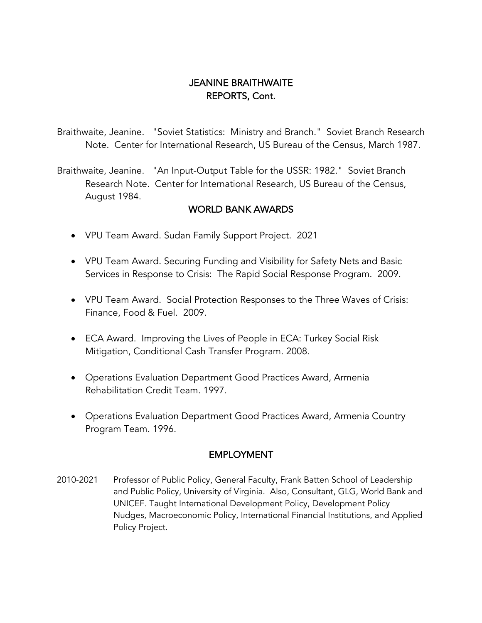Braithwaite, Jeanine. "Soviet Statistics: Ministry and Branch." Soviet Branch Research Note. Center for International Research, US Bureau of the Census, March 1987.

Braithwaite, Jeanine. "An Input-Output Table for the USSR: 1982." Soviet Branch Research Note. Center for International Research, US Bureau of the Census, August 1984.

#### WORLD BANK AWARDS

- VPU Team Award. Sudan Family Support Project. 2021
- VPU Team Award. Securing Funding and Visibility for Safety Nets and Basic Services in Response to Crisis: The Rapid Social Response Program. 2009.
- VPU Team Award. Social Protection Responses to the Three Waves of Crisis: Finance, Food & Fuel. 2009.
- ECA Award. Improving the Lives of People in ECA: Turkey Social Risk Mitigation, Conditional Cash Transfer Program. 2008.
- Operations Evaluation Department Good Practices Award, Armenia Rehabilitation Credit Team. 1997.
- Operations Evaluation Department Good Practices Award, Armenia Country Program Team. 1996.

#### EMPLOYMENT

2010-2021 Professor of Public Policy, General Faculty, Frank Batten School of Leadership and Public Policy, University of Virginia. Also, Consultant, GLG, World Bank and UNICEF. Taught International Development Policy, Development Policy Nudges, Macroeconomic Policy, International Financial Institutions, and Applied Policy Project.